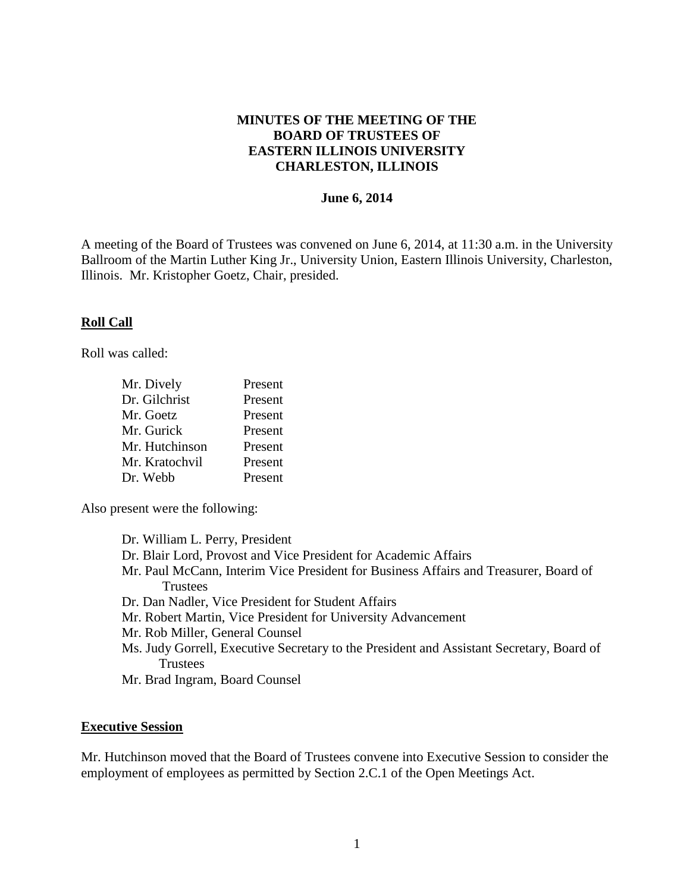## **MINUTES OF THE MEETING OF THE BOARD OF TRUSTEES OF EASTERN ILLINOIS UNIVERSITY CHARLESTON, ILLINOIS**

### **June 6, 2014**

A meeting of the Board of Trustees was convened on June 6, 2014, at 11:30 a.m. in the University Ballroom of the Martin Luther King Jr., University Union, Eastern Illinois University, Charleston, Illinois. Mr. Kristopher Goetz, Chair, presided.

### **Roll Call**

Roll was called:

| Mr. Dively     | Present |
|----------------|---------|
| Dr. Gilchrist  | Present |
| Mr. Goetz      | Present |
| Mr. Gurick     | Present |
| Mr. Hutchinson | Present |
| Mr. Kratochvil | Present |
| Dr. Webb       | Present |
|                |         |

Also present were the following:

Dr. William L. Perry, President Dr. Blair Lord, Provost and Vice President for Academic Affairs Mr. Paul McCann, Interim Vice President for Business Affairs and Treasurer, Board of **Trustees** Dr. Dan Nadler, Vice President for Student Affairs Mr. Robert Martin, Vice President for University Advancement Mr. Rob Miller, General Counsel Ms. Judy Gorrell, Executive Secretary to the President and Assistant Secretary, Board of **Trustees** Mr. Brad Ingram, Board Counsel

#### **Executive Session**

Mr. Hutchinson moved that the Board of Trustees convene into Executive Session to consider the employment of employees as permitted by Section 2.C.1 of the Open Meetings Act.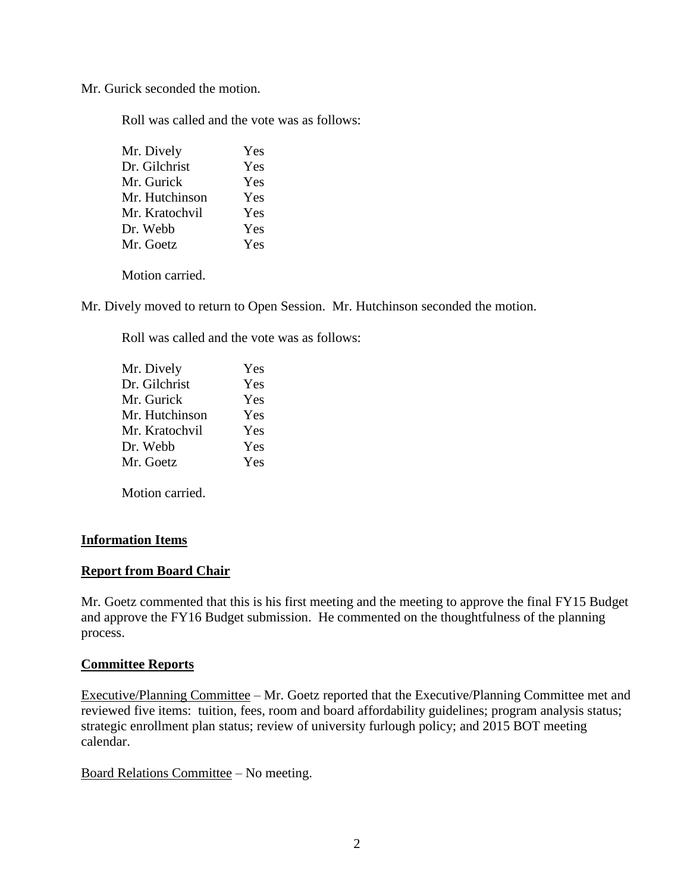Mr. Gurick seconded the motion.

Roll was called and the vote was as follows:

| Mr. Dively     | Yes |
|----------------|-----|
| Dr. Gilchrist  | Yes |
| Mr. Gurick     | Yes |
| Mr. Hutchinson | Yes |
| Mr. Kratochvil | Yes |
| Dr. Webb       | Yes |
| Mr. Goetz      | Yes |
|                |     |

Motion carried.

Mr. Dively moved to return to Open Session. Mr. Hutchinson seconded the motion.

Roll was called and the vote was as follows:

Motion carried.

### **Information Items**

### **Report from Board Chair**

Mr. Goetz commented that this is his first meeting and the meeting to approve the final FY15 Budget and approve the FY16 Budget submission. He commented on the thoughtfulness of the planning process.

### **Committee Reports**

Executive/Planning Committee – Mr. Goetz reported that the Executive/Planning Committee met and reviewed five items: tuition, fees, room and board affordability guidelines; program analysis status; strategic enrollment plan status; review of university furlough policy; and 2015 BOT meeting calendar.

Board Relations Committee – No meeting.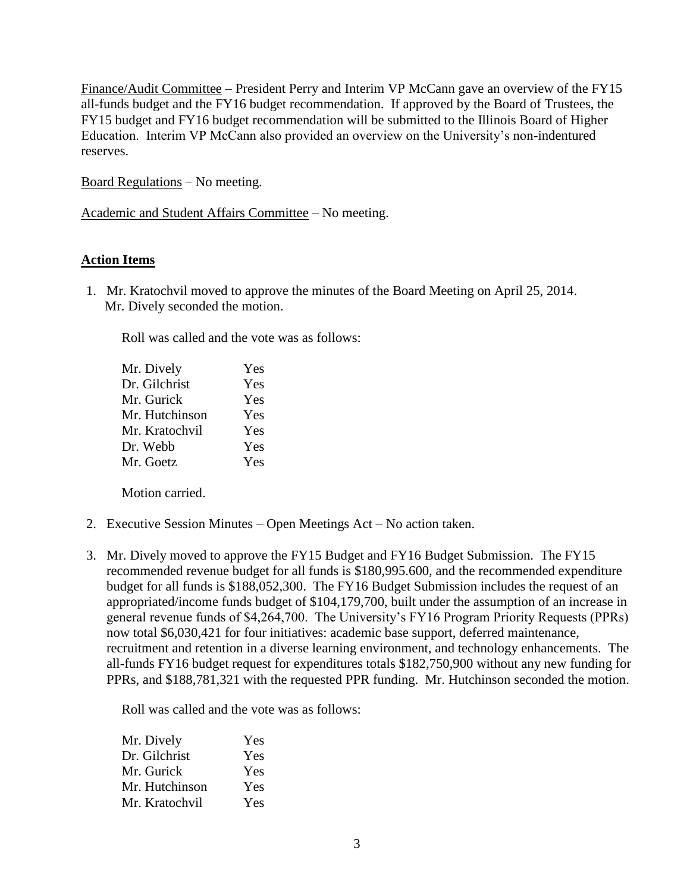Finance/Audit Committee – President Perry and Interim VP McCann gave an overview of the FY15 all-funds budget and the FY16 budget recommendation. If approved by the Board of Trustees, the FY15 budget and FY16 budget recommendation will be submitted to the Illinois Board of Higher Education. Interim VP McCann also provided an overview on the University's non-indentured reserves.

Board Regulations – No meeting.

Academic and Student Affairs Committee – No meeting.

## **Action Items**

1. Mr. Kratochvil moved to approve the minutes of the Board Meeting on April 25, 2014. Mr. Dively seconded the motion.

Roll was called and the vote was as follows:

| Mr. Dively     | Yes |
|----------------|-----|
| Dr. Gilchrist  | Yes |
| Mr. Gurick     | Yes |
| Mr. Hutchinson | Yes |
| Mr. Kratochvil | Yes |
| Dr. Webb       | Yes |
| Mr. Goetz      | Yes |
|                |     |

Motion carried.

- 2. Executive Session Minutes Open Meetings Act No action taken.
- 3. Mr. Dively moved to approve the FY15 Budget and FY16 Budget Submission. The FY15 recommended revenue budget for all funds is \$180,995.600, and the recommended expenditure budget for all funds is \$188,052,300. The FY16 Budget Submission includes the request of an appropriated/income funds budget of \$104,179,700, built under the assumption of an increase in general revenue funds of \$4,264,700. The University's FY16 Program Priority Requests (PPRs) now total \$6,030,421 for four initiatives: academic base support, deferred maintenance, recruitment and retention in a diverse learning environment, and technology enhancements. The all-funds FY16 budget request for expenditures totals \$182,750,900 without any new funding for PPRs, and \$188,781,321 with the requested PPR funding. Mr. Hutchinson seconded the motion.

Roll was called and the vote was as follows:

| Mr. Dively     | Yes |
|----------------|-----|
| Dr. Gilchrist  | Yes |
| Mr. Gurick     | Yes |
| Mr. Hutchinson | Yes |
| Mr. Kratochvil | Yes |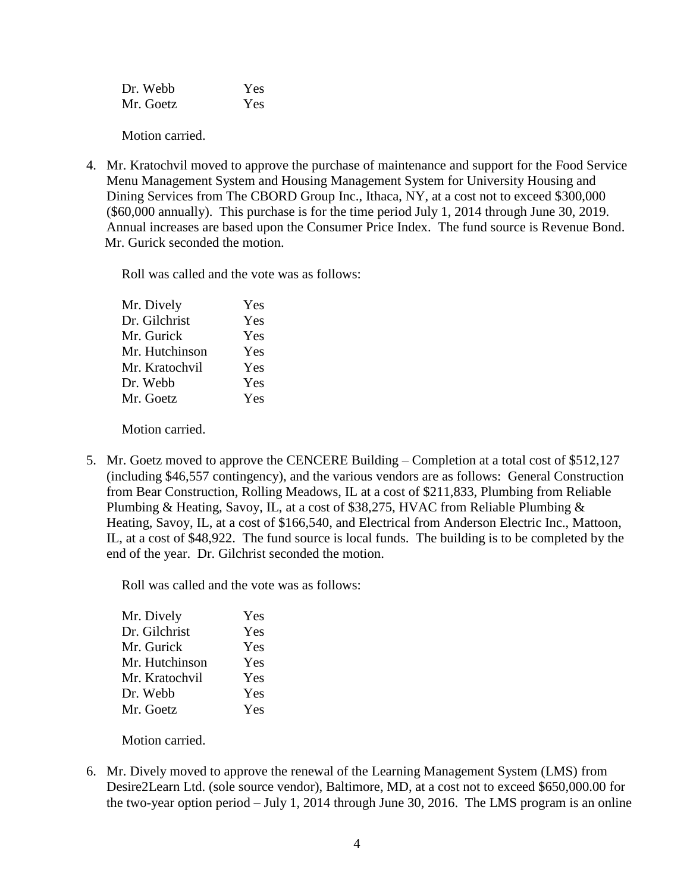| Dr. Webb  | Yes |
|-----------|-----|
| Mr. Goetz | Yes |

Motion carried.

4. Mr. Kratochvil moved to approve the purchase of maintenance and support for the Food Service Menu Management System and Housing Management System for University Housing and Dining Services from The CBORD Group Inc., Ithaca, NY, at a cost not to exceed \$300,000 (\$60,000 annually). This purchase is for the time period July 1, 2014 through June 30, 2019. Annual increases are based upon the Consumer Price Index. The fund source is Revenue Bond. Mr. Gurick seconded the motion.

Roll was called and the vote was as follows:

| Mr. Dively     | Yes |
|----------------|-----|
| Dr. Gilchrist  | Yes |
| Mr. Gurick     | Yes |
| Mr. Hutchinson | Yes |
| Mr. Kratochvil | Yes |
| Dr. Webb       | Yes |
| Mr. Goetz      | Yes |
|                |     |

Motion carried.

5. Mr. Goetz moved to approve the CENCERE Building – Completion at a total cost of \$512,127 (including \$46,557 contingency), and the various vendors are as follows: General Construction from Bear Construction, Rolling Meadows, IL at a cost of \$211,833, Plumbing from Reliable Plumbing & Heating, Savoy, IL, at a cost of \$38,275, HVAC from Reliable Plumbing & Heating, Savoy, IL, at a cost of \$166,540, and Electrical from Anderson Electric Inc., Mattoon, IL, at a cost of \$48,922. The fund source is local funds. The building is to be completed by the end of the year. Dr. Gilchrist seconded the motion.

Roll was called and the vote was as follows:

| Mr. Dively     | Yes |
|----------------|-----|
| Dr. Gilchrist  | Yes |
| Mr. Gurick     | Yes |
| Mr. Hutchinson | Yes |
| Mr. Kratochvil | Yes |
| Dr. Webb       | Yes |
| Mr. Goetz      | Yes |
|                |     |

Motion carried.

6. Mr. Dively moved to approve the renewal of the Learning Management System (LMS) from Desire2Learn Ltd. (sole source vendor), Baltimore, MD, at a cost not to exceed \$650,000.00 for the two-year option period – July 1, 2014 through June 30, 2016. The LMS program is an online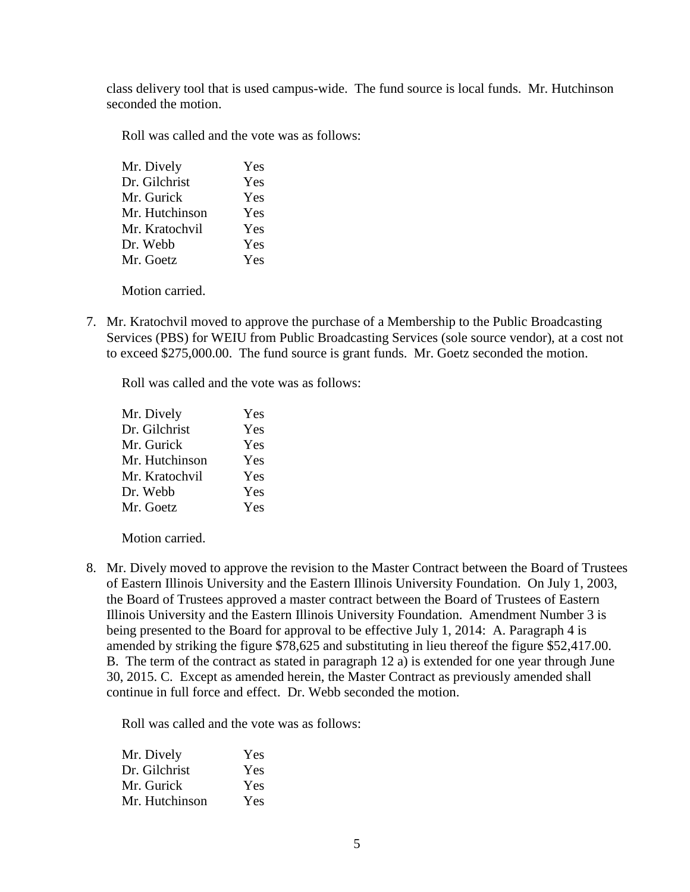class delivery tool that is used campus-wide. The fund source is local funds. Mr. Hutchinson seconded the motion.

Roll was called and the vote was as follows:

| Mr. Dively     | Yes |
|----------------|-----|
| Dr. Gilchrist  | Yes |
| Mr. Gurick     | Yes |
| Mr. Hutchinson | Yes |
| Mr. Kratochvil | Yes |
| Dr. Webb       | Yes |
| Mr. Goetz      | Yes |
|                |     |

Motion carried.

7. Mr. Kratochvil moved to approve the purchase of a Membership to the Public Broadcasting Services (PBS) for WEIU from Public Broadcasting Services (sole source vendor), at a cost not to exceed \$275,000.00. The fund source is grant funds. Mr. Goetz seconded the motion.

Roll was called and the vote was as follows:

| Mr. Dively     | Yes |
|----------------|-----|
| Dr. Gilchrist  | Yes |
| Mr. Gurick     | Yes |
| Mr. Hutchinson | Yes |
| Mr. Kratochvil | Yes |
| Dr. Webb       | Yes |
| Mr. Goetz      | Yes |
|                |     |

Motion carried.

8. Mr. Dively moved to approve the revision to the Master Contract between the Board of Trustees of Eastern Illinois University and the Eastern Illinois University Foundation. On July 1, 2003, the Board of Trustees approved a master contract between the Board of Trustees of Eastern Illinois University and the Eastern Illinois University Foundation. Amendment Number 3 is being presented to the Board for approval to be effective July 1, 2014: A. Paragraph 4 is amended by striking the figure \$78,625 and substituting in lieu thereof the figure \$52,417.00. B. The term of the contract as stated in paragraph 12 a) is extended for one year through June 30, 2015. C. Except as amended herein, the Master Contract as previously amended shall continue in full force and effect. Dr. Webb seconded the motion.

Roll was called and the vote was as follows:

| Mr. Dively     | Yes |
|----------------|-----|
| Dr. Gilchrist  | Yes |
| Mr. Gurick     | Yes |
| Mr. Hutchinson | Yes |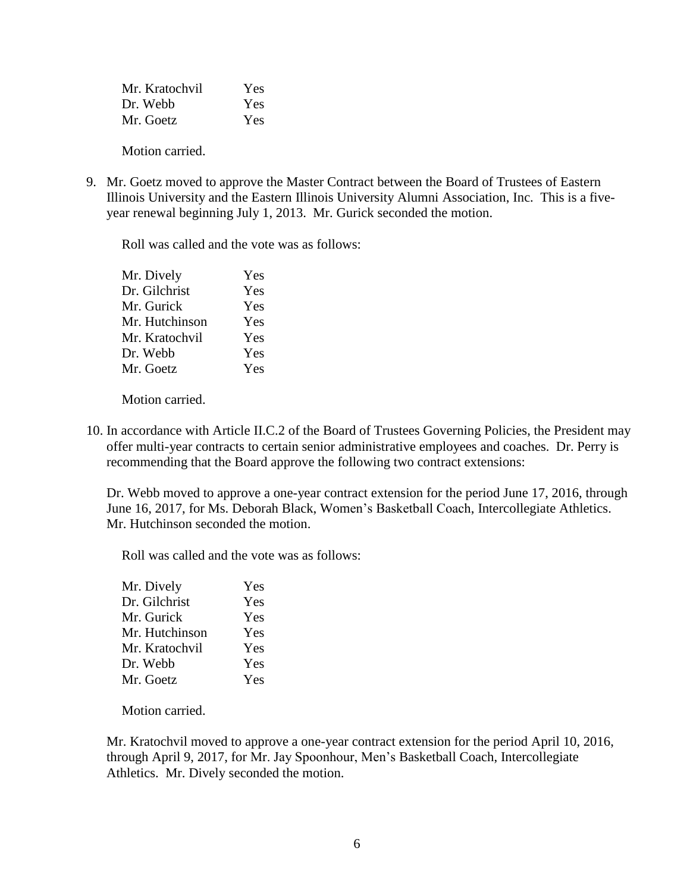| Mr. Kratochvil | Yes |
|----------------|-----|
| Dr. Webb       | Yes |
| Mr. Goetz      | Yes |

Motion carried.

9. Mr. Goetz moved to approve the Master Contract between the Board of Trustees of Eastern Illinois University and the Eastern Illinois University Alumni Association, Inc. This is a fiveyear renewal beginning July 1, 2013. Mr. Gurick seconded the motion.

Roll was called and the vote was as follows:

| Mr. Dively     | Yes |
|----------------|-----|
| Dr. Gilchrist  | Yes |
| Mr. Gurick     | Yes |
| Mr. Hutchinson | Yes |
| Mr. Kratochvil | Yes |
| Dr. Webb       | Yes |
| Mr. Goetz      | Yes |
|                |     |

Motion carried.

10. In accordance with Article II.C.2 of the Board of Trustees Governing Policies, the President may offer multi-year contracts to certain senior administrative employees and coaches. Dr. Perry is recommending that the Board approve the following two contract extensions:

Dr. Webb moved to approve a one-year contract extension for the period June 17, 2016, through June 16, 2017, for Ms. Deborah Black, Women's Basketball Coach, Intercollegiate Athletics. Mr. Hutchinson seconded the motion.

Roll was called and the vote was as follows:

| Yes |
|-----|
| Yes |
| Yes |
| Yes |
| Yes |
| Yes |
| Yes |
|     |

Motion carried.

Mr. Kratochvil moved to approve a one-year contract extension for the period April 10, 2016, through April 9, 2017, for Mr. Jay Spoonhour, Men's Basketball Coach, Intercollegiate Athletics. Mr. Dively seconded the motion.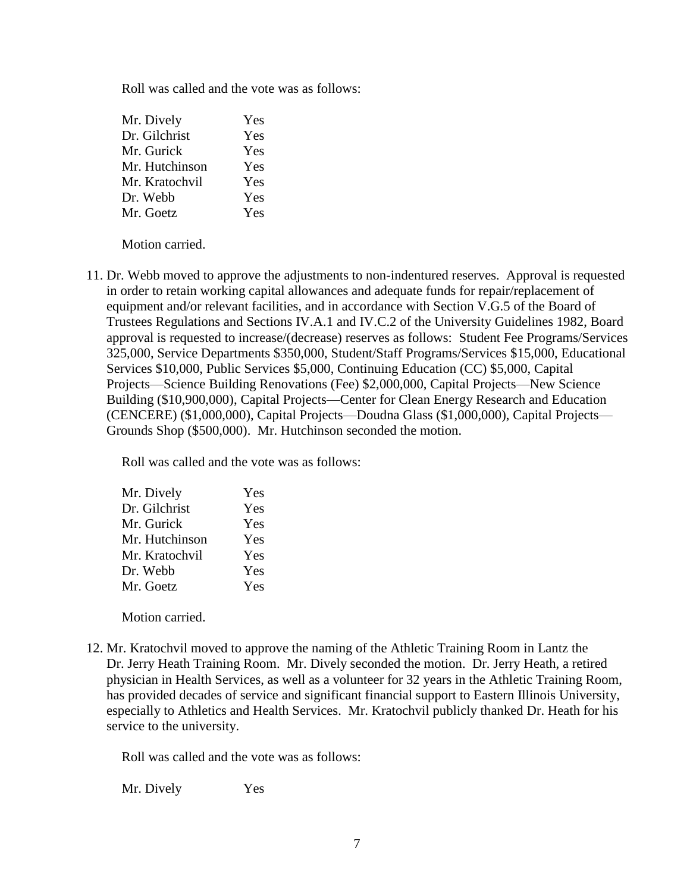Roll was called and the vote was as follows:

| Mr. Dively     | Yes |
|----------------|-----|
| Dr. Gilchrist  | Yes |
| Mr. Gurick     | Yes |
| Mr. Hutchinson | Yes |
| Mr. Kratochvil | Yes |
| Dr. Webb       | Yes |
| Mr. Goetz      | Yes |

Motion carried.

11. Dr. Webb moved to approve the adjustments to non-indentured reserves. Approval is requested in order to retain working capital allowances and adequate funds for repair/replacement of equipment and/or relevant facilities, and in accordance with Section V.G.5 of the Board of Trustees Regulations and Sections IV.A.1 and IV.C.2 of the University Guidelines 1982, Board approval is requested to increase/(decrease) reserves as follows: Student Fee Programs/Services 325,000, Service Departments \$350,000, Student/Staff Programs/Services \$15,000, Educational Services \$10,000, Public Services \$5,000, Continuing Education (CC) \$5,000, Capital Projects—Science Building Renovations (Fee) \$2,000,000, Capital Projects—New Science Building (\$10,900,000), Capital Projects—Center for Clean Energy Research and Education (CENCERE) (\$1,000,000), Capital Projects—Doudna Glass (\$1,000,000), Capital Projects— Grounds Shop (\$500,000). Mr. Hutchinson seconded the motion.

Roll was called and the vote was as follows:

| Mr. Dively     | Yes |
|----------------|-----|
| Dr. Gilchrist  | Yes |
| Mr. Gurick     | Yes |
| Mr. Hutchinson | Yes |
| Mr. Kratochvil | Yes |
| Dr. Webb       | Yes |
| Mr. Goetz      | Yes |
|                |     |

Motion carried.

12. Mr. Kratochvil moved to approve the naming of the Athletic Training Room in Lantz the Dr. Jerry Heath Training Room. Mr. Dively seconded the motion. Dr. Jerry Heath, a retired physician in Health Services, as well as a volunteer for 32 years in the Athletic Training Room, has provided decades of service and significant financial support to Eastern Illinois University, especially to Athletics and Health Services. Mr. Kratochvil publicly thanked Dr. Heath for his service to the university.

Roll was called and the vote was as follows:

Mr. Dively Yes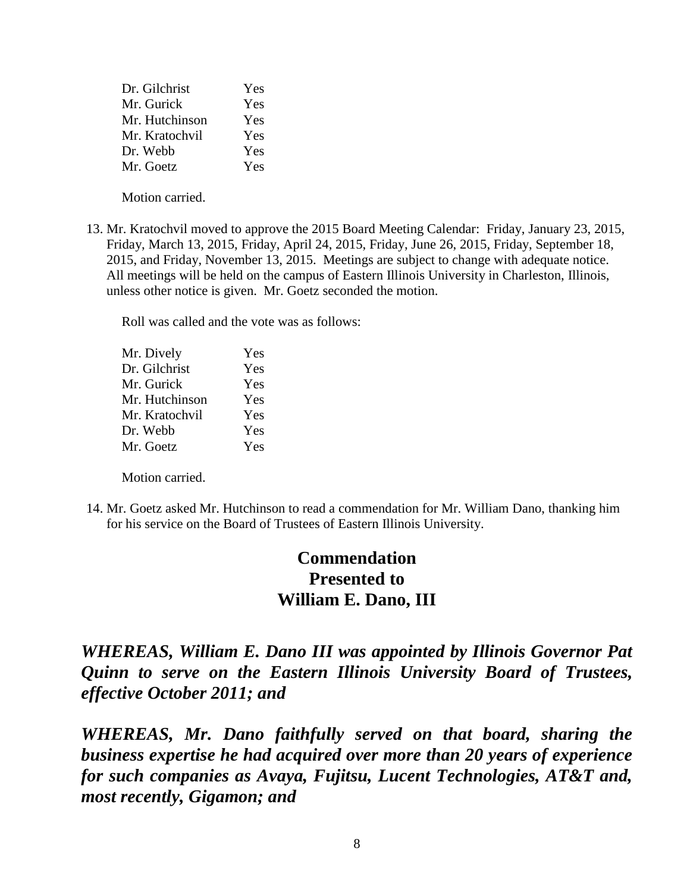| Dr. Gilchrist  | Yes |
|----------------|-----|
| Mr. Gurick     | Yes |
| Mr. Hutchinson | Yes |
| Mr. Kratochvil | Yes |
| Dr. Webb       | Yes |
| Mr. Goetz      | Yes |

Motion carried.

13. Mr. Kratochvil moved to approve the 2015 Board Meeting Calendar: Friday, January 23, 2015, Friday, March 13, 2015, Friday, April 24, 2015, Friday, June 26, 2015, Friday, September 18, 2015, and Friday, November 13, 2015. Meetings are subject to change with adequate notice. All meetings will be held on the campus of Eastern Illinois University in Charleston, Illinois, unless other notice is given. Mr. Goetz seconded the motion.

Roll was called and the vote was as follows:

| Yes |
|-----|
| Yes |
| Yes |
| Yes |
| Yes |
| Yes |
| Yes |
|     |

Motion carried.

14. Mr. Goetz asked Mr. Hutchinson to read a commendation for Mr. William Dano, thanking him for his service on the Board of Trustees of Eastern Illinois University.

# **Commendation Presented to William E. Dano, III**

*WHEREAS, William E. Dano III was appointed by Illinois Governor Pat Quinn to serve on the Eastern Illinois University Board of Trustees, effective October 2011; and*

*WHEREAS, Mr. Dano faithfully served on that board, sharing the business expertise he had acquired over more than 20 years of experience for such companies as Avaya, Fujitsu, Lucent Technologies, AT&T and, most recently, Gigamon; and*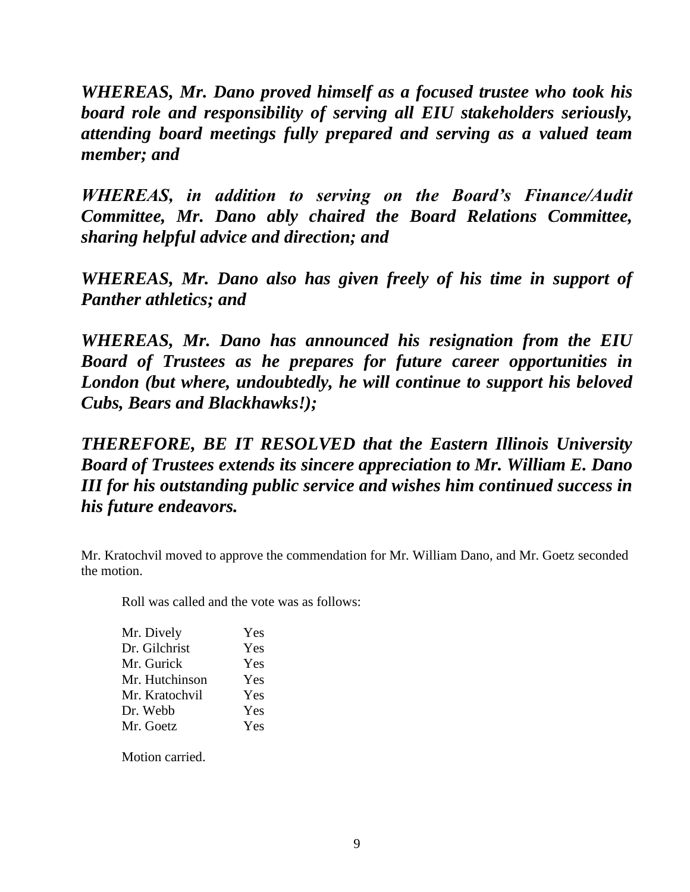*WHEREAS, Mr. Dano proved himself as a focused trustee who took his board role and responsibility of serving all EIU stakeholders seriously, attending board meetings fully prepared and serving as a valued team member; and*

*WHEREAS, in addition to serving on the Board's Finance/Audit Committee, Mr. Dano ably chaired the Board Relations Committee, sharing helpful advice and direction; and* 

*WHEREAS, Mr. Dano also has given freely of his time in support of Panther athletics; and* 

*WHEREAS, Mr. Dano has announced his resignation from the EIU Board of Trustees as he prepares for future career opportunities in London (but where, undoubtedly, he will continue to support his beloved Cubs, Bears and Blackhawks!);*

*THEREFORE, BE IT RESOLVED that the Eastern Illinois University Board of Trustees extends its sincere appreciation to Mr. William E. Dano III for his outstanding public service and wishes him continued success in his future endeavors.*

Mr. Kratochvil moved to approve the commendation for Mr. William Dano, and Mr. Goetz seconded the motion.

Roll was called and the vote was as follows:

| Yes |
|-----|
| Yes |
| Yes |
| Yes |
| Yes |
| Yes |
| Yes |
|     |

Motion carried.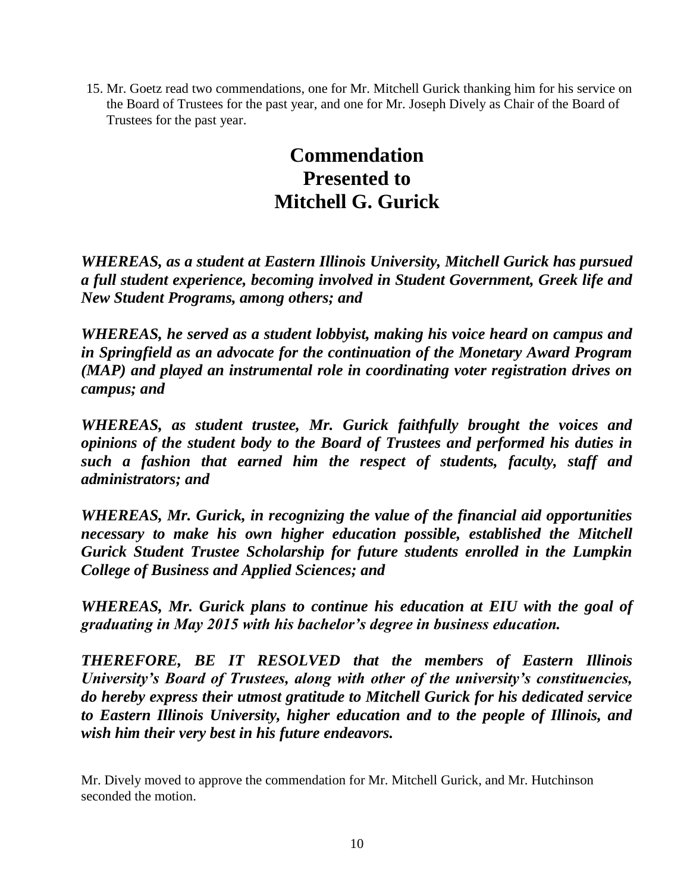15. Mr. Goetz read two commendations, one for Mr. Mitchell Gurick thanking him for his service on the Board of Trustees for the past year, and one for Mr. Joseph Dively as Chair of the Board of Trustees for the past year.

# **Commendation Presented to Mitchell G. Gurick**

*WHEREAS, as a student at Eastern Illinois University, Mitchell Gurick has pursued a full student experience, becoming involved in Student Government, Greek life and New Student Programs, among others; and*

*WHEREAS, he served as a student lobbyist, making his voice heard on campus and in Springfield as an advocate for the continuation of the Monetary Award Program (MAP) and played an instrumental role in coordinating voter registration drives on campus; and* 

*WHEREAS, as student trustee, Mr. Gurick faithfully brought the voices and opinions of the student body to the Board of Trustees and performed his duties in such a fashion that earned him the respect of students, faculty, staff and administrators; and*

*WHEREAS, Mr. Gurick, in recognizing the value of the financial aid opportunities necessary to make his own higher education possible, established the Mitchell Gurick Student Trustee Scholarship for future students enrolled in the Lumpkin College of Business and Applied Sciences; and* 

*WHEREAS, Mr. Gurick plans to continue his education at EIU with the goal of graduating in May 2015 with his bachelor's degree in business education.*

*THEREFORE, BE IT RESOLVED that the members of Eastern Illinois University's Board of Trustees, along with other of the university's constituencies, do hereby express their utmost gratitude to Mitchell Gurick for his dedicated service to Eastern Illinois University, higher education and to the people of Illinois, and wish him their very best in his future endeavors.* 

Mr. Dively moved to approve the commendation for Mr. Mitchell Gurick, and Mr. Hutchinson seconded the motion.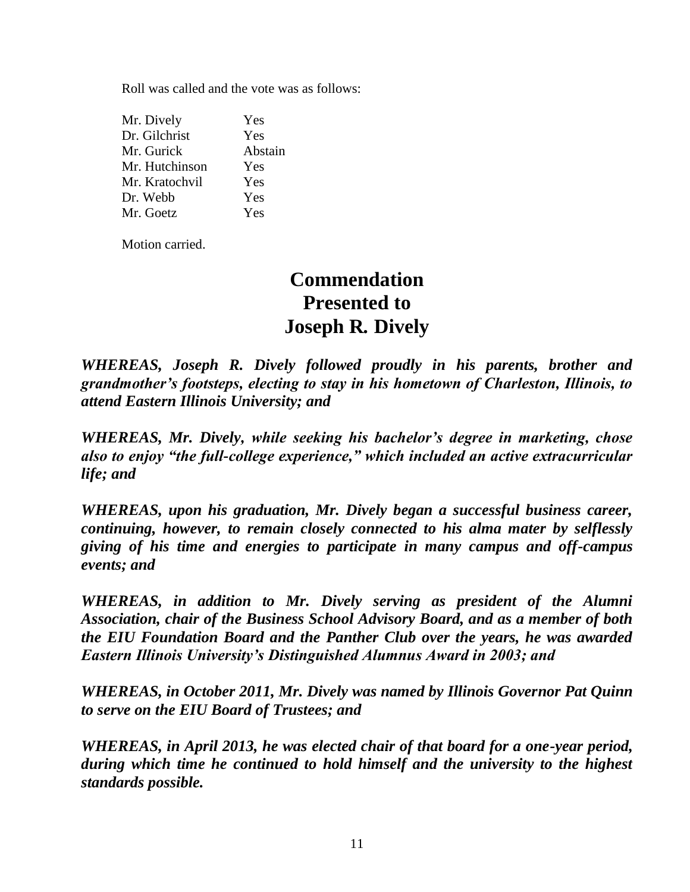Roll was called and the vote was as follows:

| Yes     |
|---------|
| Yes     |
| Abstain |
| Yes     |
| Yes     |
| Yes     |
| Yes     |
|         |

Motion carried.

# **Commendation Presented to Joseph R***.* **Dively**

*WHEREAS, Joseph R. Dively followed proudly in his parents, brother and grandmother's footsteps, electing to stay in his hometown of Charleston, Illinois, to attend Eastern Illinois University; and*

*WHEREAS, Mr. Dively, while seeking his bachelor's degree in marketing, chose also to enjoy "the full-college experience," which included an active extracurricular life; and*

*WHEREAS, upon his graduation, Mr. Dively began a successful business career, continuing, however, to remain closely connected to his alma mater by selflessly giving of his time and energies to participate in many campus and off-campus events; and*

*WHEREAS, in addition to Mr. Dively serving as president of the Alumni Association, chair of the Business School Advisory Board, and as a member of both the EIU Foundation Board and the Panther Club over the years, he was awarded Eastern Illinois University's Distinguished Alumnus Award in 2003; and*

*WHEREAS, in October 2011, Mr. Dively was named by Illinois Governor Pat Quinn to serve on the EIU Board of Trustees; and*

*WHEREAS, in April 2013, he was elected chair of that board for a one-year period, during which time he continued to hold himself and the university to the highest standards possible.*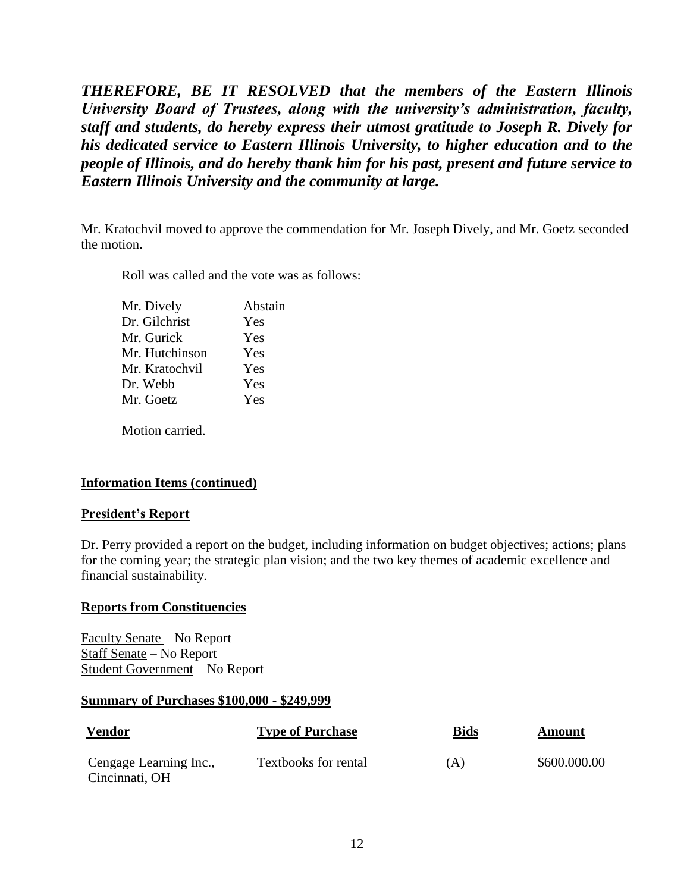*THEREFORE, BE IT RESOLVED that the members of the Eastern Illinois University Board of Trustees, along with the university's administration, faculty, staff and students, do hereby express their utmost gratitude to Joseph R. Dively for his dedicated service to Eastern Illinois University, to higher education and to the people of Illinois, and do hereby thank him for his past, present and future service to Eastern Illinois University and the community at large.*

Mr. Kratochvil moved to approve the commendation for Mr. Joseph Dively, and Mr. Goetz seconded the motion.

Roll was called and the vote was as follows:

| Mr. Dively     | Abstain |
|----------------|---------|
| Dr. Gilchrist  | Yes     |
| Mr. Gurick     | Yes     |
| Mr. Hutchinson | Yes     |
| Mr. Kratochvil | Yes     |
| Dr. Webb       | Yes     |
| Mr. Goetz      | Yes     |
|                |         |

Motion carried.

# **Information Items (continued)**

### **President's Report**

Dr. Perry provided a report on the budget, including information on budget objectives; actions; plans for the coming year; the strategic plan vision; and the two key themes of academic excellence and financial sustainability.

### **Reports from Constituencies**

Faculty Senate – No Report Staff Senate – No Report Student Government – No Report

### **Summary of Purchases \$100,000 - \$249,999**

| <u>Vendor</u>                            | <b>Type of Purchase</b>     | <u>Bids</u> | Amount       |
|------------------------------------------|-----------------------------|-------------|--------------|
| Cengage Learning Inc.,<br>Cincinnati, OH | <b>Textbooks for rental</b> | (A)         | \$600.000.00 |